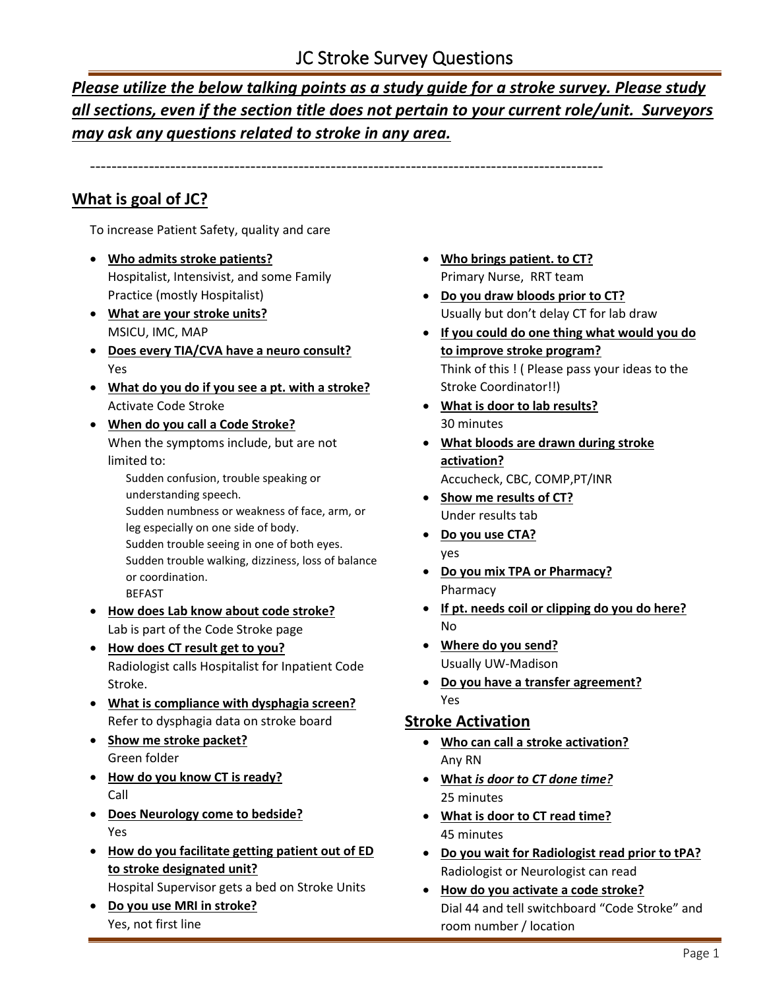*Please utilize the below talking points as a study guide for a stroke survey. Please study all sections, even if the section title does not pertain to your current role/unit. Surveyors may ask any questions related to stroke in any area.*

------------------------------------------------------------------------------------------------

### **What is goal of JC?**

To increase Patient Safety, quality and care

- **Who admits stroke patients?** Hospitalist, Intensivist, and some Family Practice (mostly Hospitalist)
- **What are your stroke units?**  MSICU, IMC, MAP
- **Does every TIA/CVA have a neuro consult?**  Yes
- **What do you do if you see a pt. with a stroke?**  Activate Code Stroke
- **When do you call a Code Stroke?** When the symptoms include, but are not limited to:
	- Sudden confusion, trouble speaking or understanding speech. Sudden numbness or weakness of face, arm, or leg especially on one side of body. Sudden trouble seeing in one of both eyes. Sudden trouble walking, dizziness, loss of balance or coordination. BEFAST
- **How does Lab know about code stroke?** Lab is part of the Code Stroke page
- **How does CT result get to you?** Radiologist calls Hospitalist for Inpatient Code Stroke.
- **What is compliance with dysphagia screen?** Refer to dysphagia data on stroke board
- **Show me stroke packet?** Green folder
- **How do you know CT is ready?**  Call
- **Does Neurology come to bedside?** Yes
- **How do you facilitate getting patient out of ED to stroke designated unit?**

Hospital Supervisor gets a bed on Stroke Units

• **Do you use MRI in stroke?** Yes, not first line

- **Who brings patient. to CT?**  Primary Nurse, RRT team
- **Do you draw bloods prior to CT?**  Usually but don't delay CT for lab draw
- **If you could do one thing what would you do to improve stroke program?** Think of this ! ( Please pass your ideas to the Stroke Coordinator!!)
- **What is door to lab results?** 30 minutes
- **What bloods are drawn during stroke activation?**  Accucheck, CBC, COMP,PT/INR
- **Show me results of CT?** Under results tab
- **Do you use CTA?**  yes
- **Do you mix TPA or Pharmacy?**  Pharmacy
- **If pt. needs coil or clipping do you do here?** No
- **Where do you send?** Usually UW-Madison
- **Do you have a transfer agreement?** Yes

#### **Stroke Activation**

- **Who can call a stroke activation?** Any RN
- **What** *is door to CT done time?* 25 minutes
- **What is door to CT read time?** 45 minutes
- **Do you wait for Radiologist read prior to tPA?** Radiologist or Neurologist can read
- **How do you activate a code stroke?** Dial 44 and tell switchboard "Code Stroke" and room number / location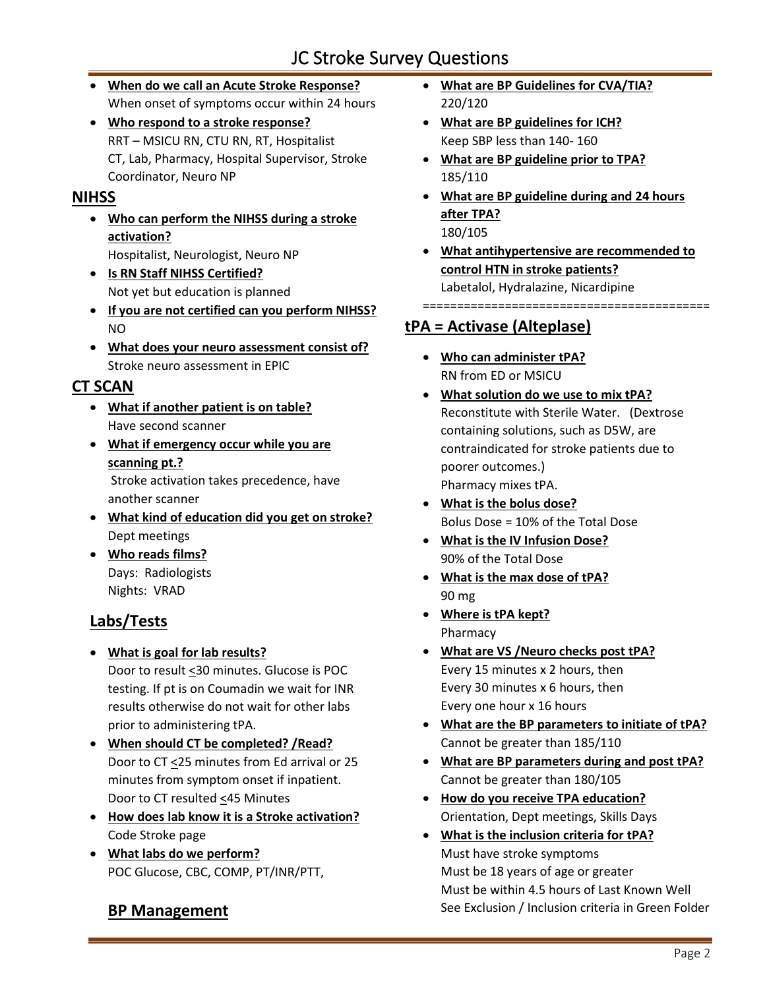# JC Stroke Survey Questions

- **When do we call an Acute Stroke Response?** When onset of symptoms occur within 24 hours
- **Who respond to a stroke response?** RRT – MSICU RN, CTU RN, RT, Hospitalist CT, Lab, Pharmacy, Hospital Supervisor, Stroke Coordinator, Neuro NP

### **NIHSS**

- **Who can perform the NIHSS during a stroke activation?**  Hospitalist, Neurologist, Neuro NP
- **Is RN Staff NIHSS Certified?**  Not yet but education is planned
- **If you are not certified can you perform NIHSS?** NO
- **What does your neuro assessment consist of?** Stroke neuro assessment in EPIC

## **CT SCAN**

- **What if another patient is on table?** Have second scanner
- **What if emergency occur while you are scanning pt.?** Stroke activation takes precedence, have

another scanner

- **What kind of education did you get on stroke?** Dept meetings
- **Who reads films?**  Days: Radiologists Nights: VRAD

## **Labs/Tests**

- **What is goal for lab results?** Door to result <30 minutes. Glucose is POC testing. If pt is on Coumadin we wait for INR results otherwise do not wait for other labs prior to administering tPA.
- **When should CT be completed? /Read?** Door to CT <25 minutes from Ed arrival or 25 minutes from symptom onset if inpatient. Door to CT resulted <45 Minutes
- **How does lab know it is a Stroke activation?** Code Stroke page
- **What labs do we perform?**  POC Glucose, CBC, COMP, PT/INR/PTT,
- **What are BP Guidelines for CVA/TIA?** 220/120
- **What are BP guidelines for ICH?** Keep SBP less than 140- 160
- **What are BP guideline prior to TPA?** 185/110
- **What are BP guideline during and 24 hours after TPA?**  180/105
- **What antihypertensive are recommended to control HTN in stroke patients?** Labetalol, Hydralazine, Nicardipine ==========================================

### **tPA = Activase (Alteplase)**

- **Who can administer tPA?** RN from ED or MSICU
- **What solution do we use to mix tPA?** Reconstitute with Sterile Water. (Dextrose containing solutions, such as D5W, are contraindicated for stroke patients due to poorer outcomes.) Pharmacy mixes tPA.
- **What is the bolus dose?** Bolus Dose = 10% of the Total Dose
- **What is the IV Infusion Dose?** 90% of the Total Dose
- **What is the max dose of tPA?** 90 mg
- **Where is tPA kept?** Pharmacy
- **What are VS /Neuro checks post tPA?** Every 15 minutes x 2 hours, then Every 30 minutes x 6 hours, then Every one hour x 16 hours
- **What are the BP parameters to initiate of tPA?** Cannot be greater than 185/110
- **What are BP parameters during and post tPA?** Cannot be greater than 180/105
- **How do you receive TPA education?** Orientation, Dept meetings, Skills Days
- **What is the inclusion criteria for tPA?**  Must have stroke symptoms Must be 18 years of age or greater Must be within 4.5 hours of Last Known Well See Exclusion / Inclusion criteria in Green Folder

## **BP Management**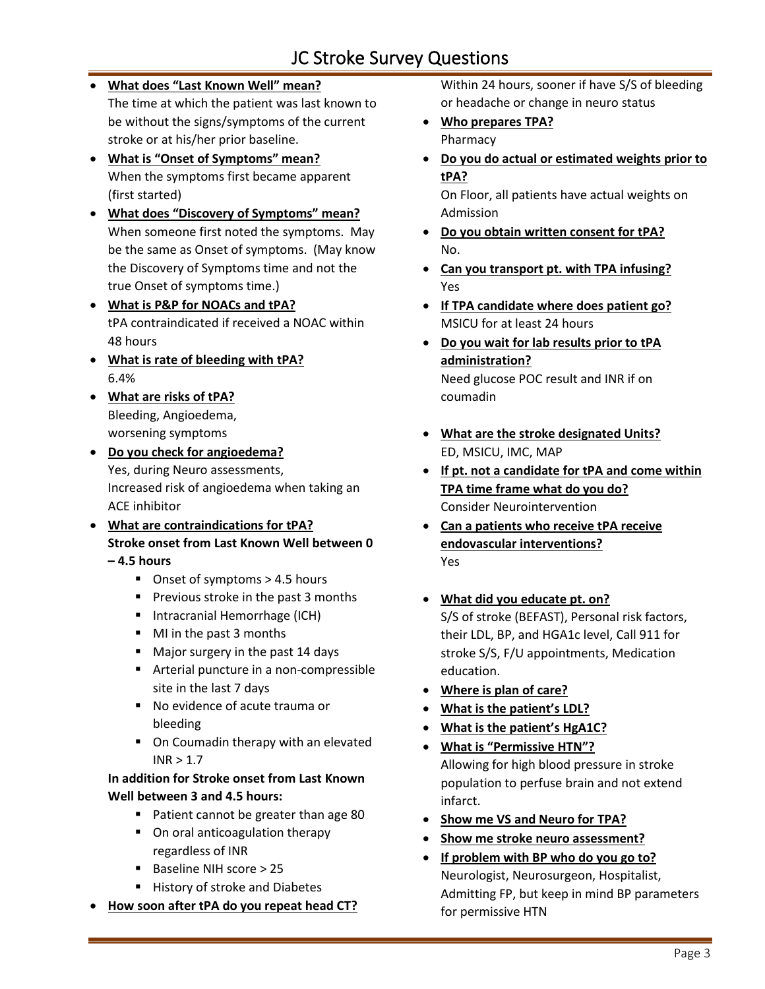# JC Stroke Survey Questions

- **What does "Last Known Well" mean?** The time at which the patient was last known to be without the signs/symptoms of the current stroke or at his/her prior baseline.
- **What is "Onset of Symptoms" mean?** When the symptoms first became apparent (first started)
- **What does "Discovery of Symptoms" mean?** When someone first noted the symptoms. May be the same as Onset of symptoms. (May know the Discovery of Symptoms time and not the true Onset of symptoms time.)
- **What is P&P for NOACs and tPA?**  tPA contraindicated if received a NOAC within 48 hours
- **What is rate of bleeding with tPA?** 6.4%
- **What are risks of tPA?** Bleeding, Angioedema, worsening symptoms
- **Do you check for angioedema?**  Yes, during Neuro assessments, Increased risk of angioedema when taking an ACE inhibitor
- **What are contraindications for tPA? Stroke onset from Last Known Well between 0 – 4.5 hours** 
	- Onset of symptoms > 4.5 hours
	- Previous stroke in the past 3 months
	- Intracranial Hemorrhage (ICH)
	- MI in the past 3 months
	- Major surgery in the past 14 days
	- Arterial puncture in a non-compressible site in the last 7 days
	- No evidence of acute trauma or bleeding
	- On Coumadin therapy with an elevated  $INR > 1.7$

#### **In addition for Stroke onset from Last Known Well between 3 and 4.5 hours:**

- Patient cannot be greater than age 80
- On oral anticoagulation therapy regardless of INR
- Baseline NIH score > 25
- History of stroke and Diabetes
- **How soon after tPA do you repeat head CT?**

Within 24 hours, sooner if have S/S of bleeding or headache or change in neuro status

- **Who prepares TPA?** Pharmacy
- **Do you do actual or estimated weights prior to tPA?**

On Floor, all patients have actual weights on Admission

- **Do you obtain written consent for tPA?** No.
- **Can you transport pt. with TPA infusing?**  Yes
- **If TPA candidate where does patient go?** MSICU for at least 24 hours
- **Do you wait for lab results prior to tPA administration?** Need glucose POC result and INR if on coumadin
- **What are the stroke designated Units?** ED, MSICU, IMC, MAP
- **If pt. not a candidate for tPA and come within TPA time frame what do you do?** Consider Neurointervention
- **Can a patients who receive tPA receive endovascular interventions?** Yes
- **What did you educate pt. on?**  S/S of stroke (BEFAST), Personal risk factors, their LDL, BP, and HGA1c level, Call 911 for stroke S/S, F/U appointments, Medication education.
- **Where is plan of care?**
- **What is the patient's LDL?**
- **What is the patient's HgA1C?**
- **What is "Permissive HTN"?**  Allowing for high blood pressure in stroke population to perfuse brain and not extend infarct.
- **Show me VS and Neuro for TPA?**
- **Show me stroke neuro assessment?**
- **If problem with BP who do you go to?** Neurologist, Neurosurgeon, Hospitalist, Admitting FP, but keep in mind BP parameters for permissive HTN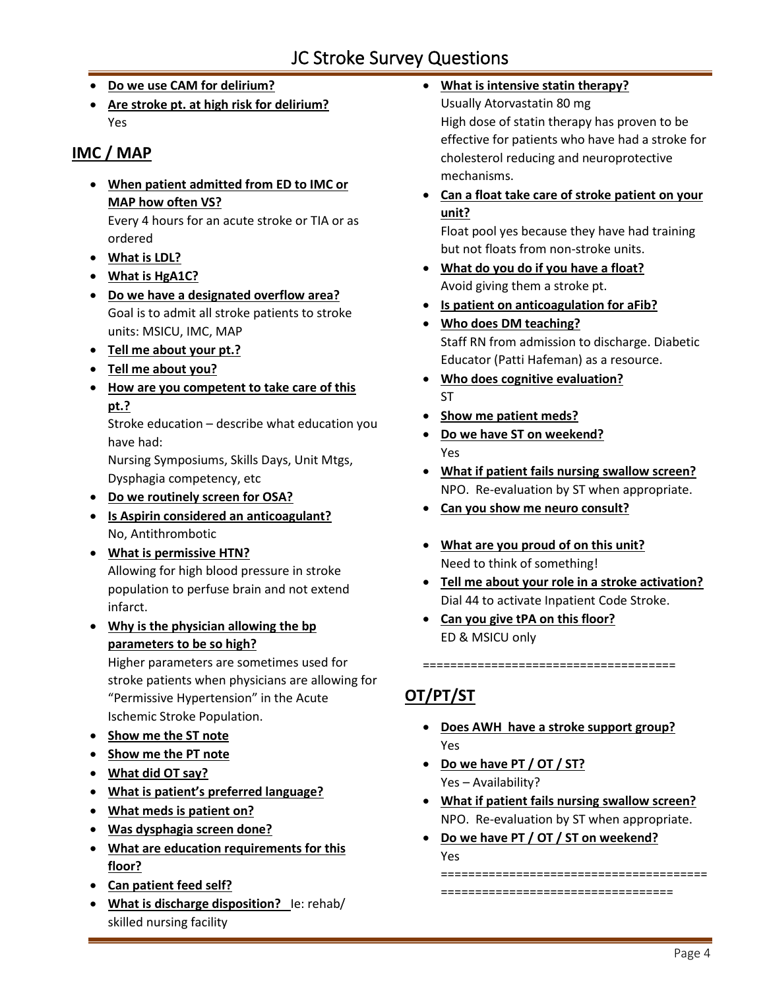- **Do we use CAM for delirium?**
- **Are stroke pt. at high risk for delirium?**  Yes

### **IMC / MAP**

• **When patient admitted from ED to IMC or MAP how often VS?**

Every 4 hours for an acute stroke or TIA or as ordered

- **What is LDL?**
- **What is HgA1C?**
- **Do we have a designated overflow area?** Goal is to admit all stroke patients to stroke units: MSICU, IMC, MAP
- **Tell me about your pt.?**
- **Tell me about you?**
- **How are you competent to take care of this pt.?**

Stroke education – describe what education you have had:

Nursing Symposiums, Skills Days, Unit Mtgs, Dysphagia competency, etc

- **Do we routinely screen for OSA?**
- **Is Aspirin considered an anticoagulant?**  No, Antithrombotic
- **What is permissive HTN?**  Allowing for high blood pressure in stroke population to perfuse brain and not extend infarct.
- **Why is the physician allowing the bp parameters to be so high?**

Higher parameters are sometimes used for stroke patients when physicians are allowing for "Permissive Hypertension" in the Acute Ischemic Stroke Population.

- **Show me the ST note**
- **Show me the PT note**
- **What did OT say?**
- **What is patient's preferred language?**
- **What meds is patient on?**
- **Was dysphagia screen done?**
- **What are education requirements for this floor?**
- **Can patient feed self?**
- **What is discharge disposition?** Ie: rehab/ skilled nursing facility

• **What is intensive statin therapy?** 

Usually Atorvastatin 80 mg High dose of statin therapy has proven to be effective for patients who have had a stroke for cholesterol reducing and neuroprotective mechanisms.

• **Can a float take care of stroke patient on your unit?**

Float pool yes because they have had training but not floats from non-stroke units.

- **What do you do if you have a float?** Avoid giving them a stroke pt.
- **Is patient on anticoagulation for aFib?**
- **Who does DM teaching?** Staff RN from admission to discharge. Diabetic Educator (Patti Hafeman) as a resource.
- **Who does cognitive evaluation?** ST
- **Show me patient meds?**
- **Do we have ST on weekend?** Yes
- **What if patient fails nursing swallow screen?**  NPO. Re-evaluation by ST when appropriate.
- **Can you show me neuro consult?**
- **What are you proud of on this unit?** Need to think of something!
- **Tell me about your role in a stroke activation?** Dial 44 to activate Inpatient Code Stroke.
- **Can you give tPA on this floor?**  ED & MSICU only

=====================================

## **OT/PT/ST**

- **Does AWH have a stroke support group?** Yes
- **Do we have PT / OT / ST?** Yes – Availability?
- **What if patient fails nursing swallow screen?**  NPO. Re-evaluation by ST when appropriate.
- **Do we have PT / OT / ST on weekend?** Yes =======================================

==================================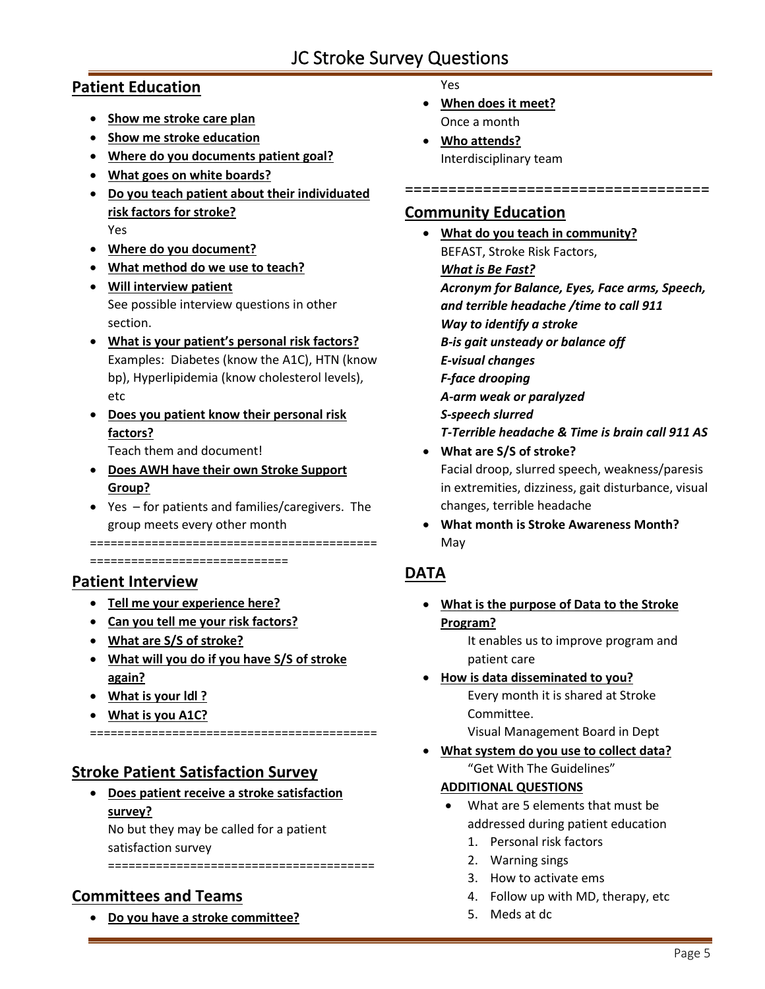## JC Stroke Survey Questions

### **Patient Education**

- **Show me stroke care plan**
- **Show me stroke education**
- **Where do you documents patient goal?**
- **What goes on white boards?**
- **Do you teach patient about their individuated risk factors for stroke?** Yes
- **Where do you document?**
- **What method do we use to teach?**
- **Will interview patient** See possible interview questions in other section.
- **What is your patient's personal risk factors?** Examples: Diabetes (know the A1C), HTN (know bp), Hyperlipidemia (know cholesterol levels), etc
- **Does you patient know their personal risk factors?**

Teach them and document!

- **Does AWH have their own Stroke Support Group?**
- Yes for patients and families/caregivers. The group meets every other month

==========================================

=============================

### **Patient Interview**

- **Tell me your experience here?**
- **Can you tell me your risk factors?**
- **What are S/S of stroke?**
- **What will you do if you have S/S of stroke again?**
- **What is your ldl ?**
- **What is you A1C?**

==========================================

#### **Stroke Patient Satisfaction Survey**

• **Does patient receive a stroke satisfaction survey?**

No but they may be called for a patient satisfaction survey =======================================

#### **Committees and Teams**

• **Do you have a stroke committee?**

- Yes
- **When does it meet?** Once a month
- **Who attends?** Interdisciplinary team
- ===================================

#### **Community Education**

• **What do you teach in community?** BEFAST, Stroke Risk Factors, *What is Be Fast? Acronym for Balance, Eyes, Face arms, Speech, and terrible headache /time to call 911 Way to identify a stroke B-is gait unsteady or balance off E-visual changes F-face drooping A-arm weak or paralyzed S-speech slurred T-Terrible headache & Time is brain call 911 AS*

- **What are S/S of stroke?** Facial droop, slurred speech, weakness/paresis in extremities, dizziness, gait disturbance, visual changes, terrible headache
- **What month is Stroke Awareness Month?** May

#### **DATA**

• **What is the purpose of Data to the Stroke Program?**

> It enables us to improve program and patient care

• **How is data disseminated to you?**

Every month it is shared at Stroke Committee. Visual Management Board in Dept

• **What system do you use to collect data?** "Get With The Guidelines"

#### **ADDITIONAL QUESTIONS**

- What are 5 elements that must be addressed during patient education
	- 1. Personal risk factors
	- 2. Warning sings
	- 3. How to activate ems
	- 4. Follow up with MD, therapy, etc
	- 5. Meds at dc